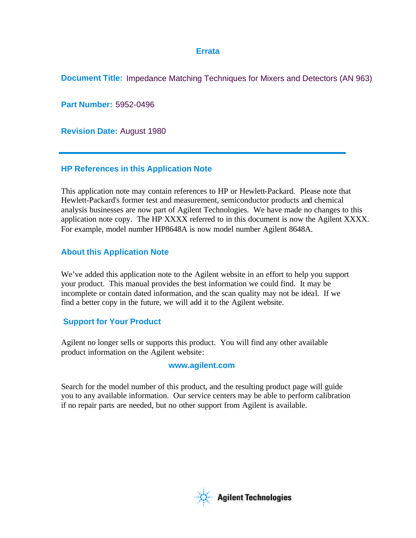## **Errata**

**Document Title:** Impedance Matching Techniques for Mixers and Detectors (AN 963)

**Part Number:** 5952-0496

**Revision Date:** August 1980

## **HP References in this Application Note**

This application note may contain references to HP or Hewlett-Packard. Please note that Hewlett-Packard's former test and measurement, semiconductor products and chemical analysis businesses are now part of Agilent Technologies. We have made no changes to this application note copy. The HP XXXX referred to in this document is now the Agilent XXXX. For example, model number HP8648A is now model number Agilent 8648A.

# **About this Application Note**

We've added this application note to the Agilent website in an effort to help you support your product. This manual provides the best information we could find. It may be incomplete or contain dated information, and the scan quality may not be ideal. If we find a better copy in the future, we will add it to the Agilent website.

# **Support for Your Product**

Agilent no longer sells or supports this product. You will find any other available product information on the Agilent website:

## **www.agilent.com**

Search for the model number of this product, and the resulting product page will guide you to any available information. Our service centers may be able to perform calibration if no repair parts are needed, but no other support from Agilent is available.

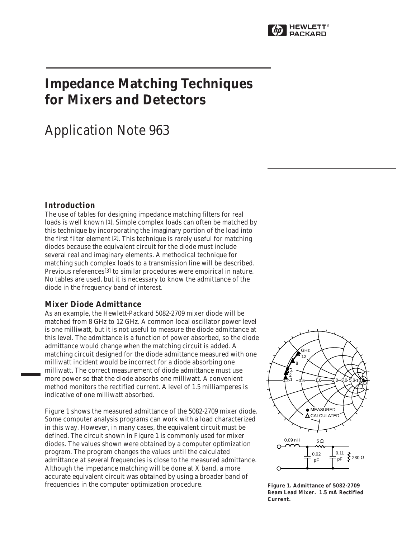

# **Impedance Matching Techniques for Mixers and Detectors**

# Application Note 963

### **Introduction**

The use of tables for designing impedance matching filters for real loads is well known [1]. Simple complex loads can often be matched by this technique by incorporating the imaginary portion of the load into the first filter element [2]. This technique is rarely useful for matching diodes because the equivalent circuit for the diode must include several real and imaginary elements. A methodical technique for matching such complex loads to a transmission line will be described. Previous references[3] to similar procedures were empirical in nature. No tables are used, but it is necessary to know the admittance of the diode in the frequency band of interest.

#### **Mixer Diode Admittance**

As an example, the Hewlett-Packard 5082-2709 mixer diode will be matched from 8 GHz to 12 GHz. A common local oscillator power level is one milliwatt, but it is not useful to measure the diode admittance at this level. The admittance is a function of power absorbed, so the diode admittance would change when the matching circuit is added. A matching circuit designed for the diode admittance measured with one milliwatt incident would be incorrect for a diode absorbing one milliwatt. The correct measurement of diode admittance must use more power so that the diode absorbs one milliwatt. A convenient method monitors the rectified current. A level of 1.5 milliamperes is indicative of one milliwatt absorbed.

Figure 1 shows the measured admittance of the 5082-2709 mixer diode. Some computer analysis programs can work with a load characterized in this way. However, in many cases, the equivalent circuit must be defined. The circuit shown in Figure 1 is commonly used for mixer diodes. The values shown were obtained by a computer optimization program. The program changes the values until the calculated admittance at several frequencies is close to the measured admittance. Although the impedance matching will be done at X band, a more accurate equivalent circuit was obtained by using a broader band of frequencies in the computer optimization procedure.



**Figure 1. Admittance of 5082-2709 Beam Lead Mixer. 1.5 mA Rectified Current.**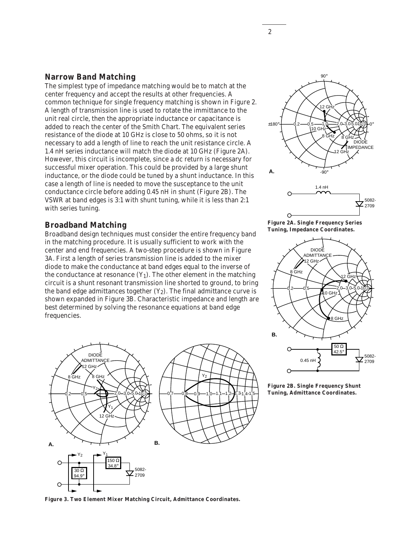#### **Narrow Band Matching**

The simplest type of impedance matching would be to match at the center frequency and accept the results at other frequencies. A common technique for single frequency matching is shown in Figure 2. A length of transmission line is used to rotate the immittance to the unit real circle, then the appropriate inductance or capacitance is added to reach the center of the Smith Chart. The equivalent series resistance of the diode at 10 GHz is close to 50 ohms, so it is not necessary to add a length of line to reach the unit resistance circle. A 1.4 nH series inductance will match the diode at 10 GHz (Figure 2A). However, this circuit is incomplete, since a dc return is necessary for successful mixer operation. This could be provided by a large shunt inductance, or the diode could be tuned by a shunt inductance. In this case a length of line is needed to move the susceptance to the unit conductance circle before adding 0.45 nH in shunt (Figure 2B). The VSWR at band edges is 3:1 with shunt tuning, while it is less than 2:1 with series tuning.

#### **Broadband Matching**

Broadband design techniques must consider the entire frequency band in the matching procedure. It is usually sufficient to work with the center and end frequencies. A two-step procedure is shown in Figure 3A. First a length of series transmission line is added to the mixer diode to make the conductance at band edges equal to the inverse of the conductance at resonance  $(Y_1)$ . The other element in the matching circuit is a shunt resonant transmission line shorted to ground, to bring the band edge admittances together  $(Y_2)$ . The final admittance curve is shown expanded in Figure 3B. Characteristic impedance and length are best determined by solving the resonance equations at band edge frequencies.









**Figure 2B. Single Frequency Shunt Tuning, Admittance Coordinates.**

**Figure 3. Two Element Mixer Matching Circuit, Admittance Coordinates.**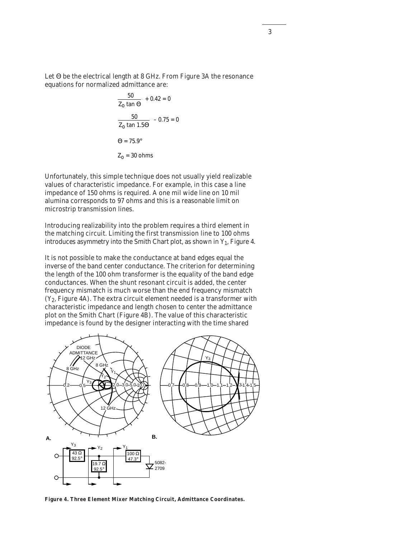Let Θ be the electrical length at 8 GHz. From Figure 3A the resonance equations for normalized admittance are:

$$
\frac{50}{Z_0 \tan \Theta} + 0.42 = 0
$$
  

$$
\frac{50}{Z_0 \tan 1.5\Theta} - 0.75 = 0
$$
  

$$
\Theta = 75.9^\circ
$$
  

$$
Z_0 = 30 \text{ ohms}
$$

Unfortunately, this simple technique does not usually yield realizable values of characteristic impedance. For example, in this case a line impedance of 150 ohms is required. A one mil wide line on 10 mil alumina corresponds to 97 ohms and this is a reasonable limit on microstrip transmission lines.

Introducing realizability into the problem requires a third element in the matching circuit. Limiting the first transmission line to 100 ohms introduces asymmetry into the Smith Chart plot, as shown in  $Y_1$ , Figure 4.

It is not possible to make the conductance at band edges equal the inverse of the band center conductance. The criterion for determining the length of the 100 ohm transformer is the equality of the band edge conductances. When the shunt resonant circuit is added, the center frequency mismatch is much worse than the end frequency mismatch  $(Y_2,$  Figure 4A). The extra circuit element needed is a transformer with characteristic impedance and length chosen to center the admittance plot on the Smith Chart (Figure 4B). The value of this characteristic impedance is found by the designer interacting with the time shared



**Figure 4. Three Element Mixer Matching Circuit, Admittance Coordinates.**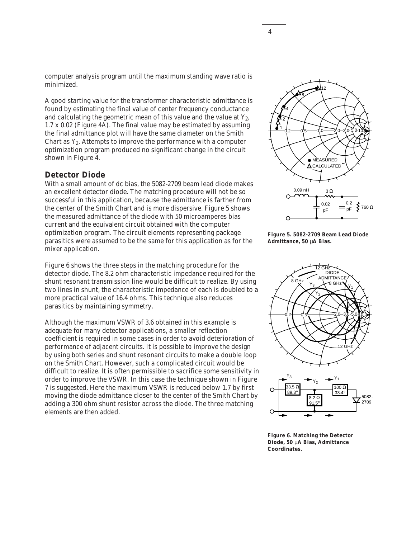computer analysis program until the maximum standing wave ratio is minimized.

A good starting value for the transformer characteristic admittance is found by estimating the final value of center frequency conductance and calculating the geometric mean of this value and the value at  $Y_2$ , 1.7 x 0.02 (Figure 4A). The final value may be estimated by assuming the final admittance plot will have the same diameter on the Smith Chart as  $Y_2$ . Attempts to improve the performance with a computer optimization program produced no significant change in the circuit shown in Figure 4.

#### **Detector Diode**

With a small amount of dc bias, the 5082-2709 beam lead diode makes an excellent detector diode. The matching procedure will not be so successful in this application, because the admittance is farther from the center of the Smith Chart and is more dispersive. Figure 5 shows the measured admittance of the diode with 50 microamperes bias current and the equivalent circuit obtained with the computer optimization program. The circuit elements representing package parasitics were assumed to be the same for this application as for the mixer application.

Figure 6 shows the three steps in the matching procedure for the detector diode. The 8.2 ohm characteristic impedance required for the shunt resonant transmission line would be difficult to realize. By using two lines in shunt, the characteristic impedance of each is doubled to a more practical value of 16.4 ohms. This technique also reduces parasitics by maintaining symmetry.

Although the maximum VSWR of 3.6 obtained in this example is adequate for many detector applications, a smaller reflection coefficient is required in some cases in order to avoid deterioration of performance of adjacent circuits. It is possible to improve the design by using both series and shunt resonant circuits to make a double loop on the Smith Chart. However, such a complicated circuit would be difficult to realize. It is often permissible to sacrifice some sensitivity in order to improve the VSWR. In this case the technique shown in Figure 7 is suggested. Here the maximum VSWR is reduced below 1.7 by first moving the diode admittance closer to the center of the Smith Chart by adding a 300 ohm shunt resistor across the diode. The three matching elements are then added.



**Figure 5. 5082-2709 Beam Lead Diode Admittance, 50** µ**A Bias.**



**Figure 6. Matching the Detector Diode, 50** µ**A Bias, Admittance Coordinates.**

4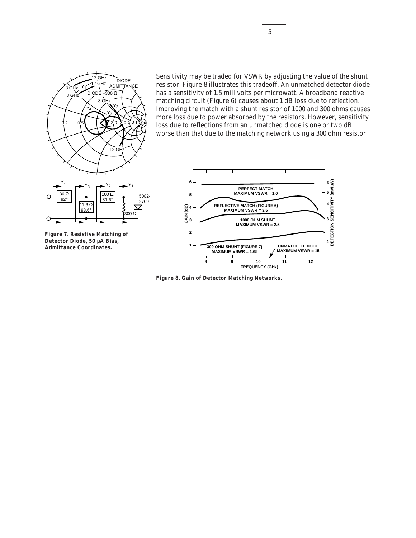

Sensitivity may be traded for VSWR by adjusting the value of the shunt resistor. Figure 8 illustrates this tradeoff. An unmatched detector diode has a sensitivity of 1.5 millivolts per microwatt. A broadband reactive matching circuit (Figure 6) causes about 1 dB loss due to reflection. Improving the match with a shunt resistor of 1000 and 300 ohms causes more loss due to power absorbed by the resistors. However, sensitivity loss due to reflections from an unmatched diode is one or two dB worse than that due to the matching network using a 300 ohm resistor.



**Figure 8. Gain of Detector Matching Networks.**

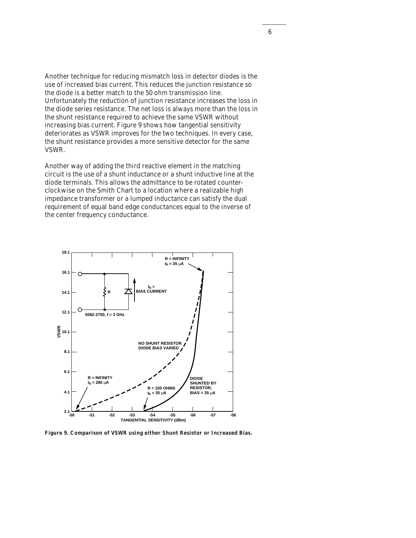Another technique for reducing mismatch loss in detector diodes is the use of increased bias current. This reduces the junction resistance so the diode is a better match to the 50 ohm transmission line. Unfortunately the reduction of junction resistance increases the loss in the diode series resistance. The net loss is always more than the loss in the shunt resistance required to achieve the same VSWR without increasing bias current. Figure 9 shows how tangential sensitivity deteriorates as VSWR improves for the two techniques. In every case, the shunt resistance provides a more sensitive detector for the same VSWR.

Another way of adding the third reactive element in the matching circuit is the use of a shunt inductance or a shunt inductive line at the diode terminals. This allows the admittance to be rotated counterclockwise on the Smith Chart to a location where a realizable high impedance transformer or a lumped inductance can satisfy the dual requirement of equal band edge conductances equal to the inverse of the center frequency conductance.



**Figure 9. Comparison of VSWR using either Shunt Resistor or Increased Bias.**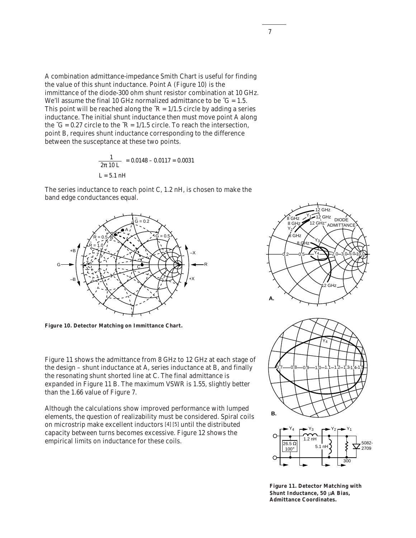A combination admittance-impedance Smith Chart is useful for finding the value of this shunt inductance. Point A (Figure 10) is the immittance of the diode-300 ohm shunt resistor combination at 10 GHz. We'll assume the final 10 GHz normalized admittance to be  $\tilde{G} = 1.5$ . This point will be reached along the  $\tilde{R} = 1/1.5$  circle by adding a series inductance. The initial shunt inductance then must move point A along the  $\tilde{G} = 0.27$  circle to the  $\tilde{R} = 1/1.5$  circle. To reach the intersection, point B, requires shunt inductance corresponding to the difference between the susceptance at these two points.

$$
\frac{1}{2\pi 10 \text{ L}} = 0.0148 - 0.0117 = 0.0031
$$
  
L = 5.1 nH

The series inductance to reach point C, 1.2 nH, is chosen to make the band edge conductances equal.



**Figure 10. Detector Matching on Immittance Chart.**

Figure 11 shows the admittance from 8 GHz to 12 GHz at each stage of the design – shunt inductance at A, series inductance at B, and finally the resonating shunt shorted line at C. The final admittance is expanded in Figure 11 B. The maximum VSWR is 1.55, slightly better than the 1.66 value of Figure 7.

Although the calculations show improved performance with lumped elements, the question of realizability must be considered. Spiral coils on microstrip make excellent inductors [4] [5] until the distributed capacity between turns becomes excessive. Figure 12 shows the empirical limits on inductance for these coils.



**Figure 11. Detector Matching with Shunt Inductance, 50** µ**A Bias, Admittance Coordinates.**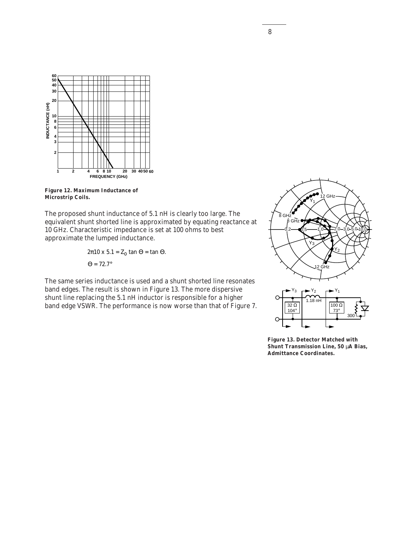

**Figure 12. Maximum Inductance of Microstrip Coils.**

The proposed shunt inductance of 5.1 nH is clearly too large. The equivalent shunt shorted line is approximated by equating reactance at 10 GHz. Characteristic impedance is set at 100 ohms to best approximate the lumped inductance.

> $\Theta = 72.7^\circ$  $2\pi 10 \times 5.1 = Z_0 \tan \Theta = \tan \Theta.$

The same series inductance is used and a shunt shorted line resonates band edges. The result is shown in Figure 13. The more dispersive shunt line replacing the 5.1 nH inductor is responsible for a higher band edge VSWR. The performance is now worse than that of Figure 7.



**Figure 13. Detector Matched with Shunt Transmission Line, 50** µ**A Bias, Admittance Coordinates.**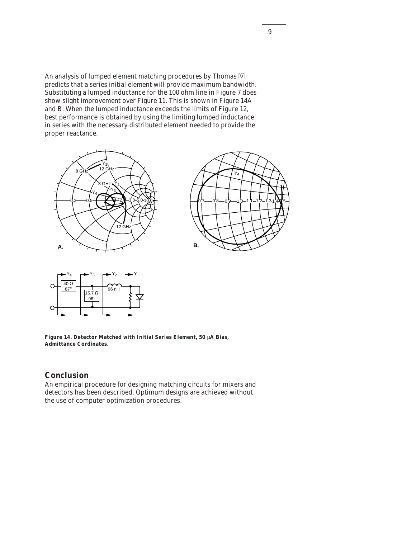An analysis of lumped element matching procedures by Thomas [6] predicts that a series initial element will provide maximum bandwidth. Substituting a lumped inductance for the 100 ohm line in Figure 7 does show slight improvement over Figure 11. This is shown in Figure 14A and B. When the lumped inductance exceeds the limits of Figure 12, best performance is obtained by using the limiting lumped inductance in series with the necessary distributed element needed to provide the proper reactance.







**Figure 14. Detector Matched with Initial Series Element, 50** µ**A Bias, Admittance Cordinates.**

### **Conclusion**

An empirical procedure for designing matching circuits for mixers and detectors has been described. Optimum designs are achieved without the use of computer optimization procedures.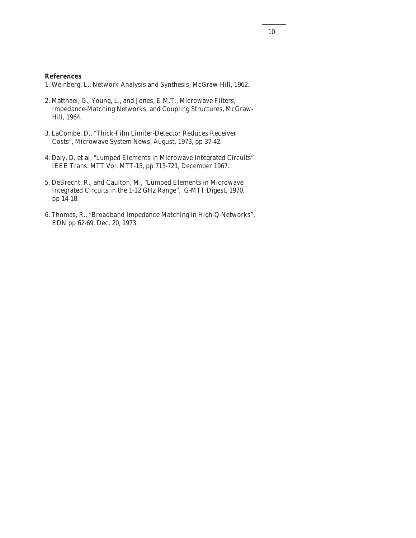#### **References**

- 1. Weinberg, L., Network Analysis and Synthesis, McGraw-Hill, 1962.
- 2. Matthaei, G., Young, L., and Jones, E.M.T., Microwave Filters, Impedance-Matching Networks, and Coupling Structures, McGraw-Hill, 1964.
- 3. LaCombe, D., "Thick-Film Limiter-Detector Reduces Receiver Costs", Microwave System News, August, 1973, pp 37-42.
- 4. Daly, D. et al, "Lumped Elements in Microwave Integrated Circuits" IEEE Trans. MTT Vol. MTT-15, pp 713-721, December 1967.
- 5. DeBrecht, R., and Caulton, M., "Lumped Elements in Microwave Integrated Circuits in the 1-12 GHz Range", G-MTT Digest, 1970, pp 14-18.
- 6. Thomas, R., "Broadband Impedance Matching in High-Q-Networks", EDN pp 62-69, Dec. 20, 1973.